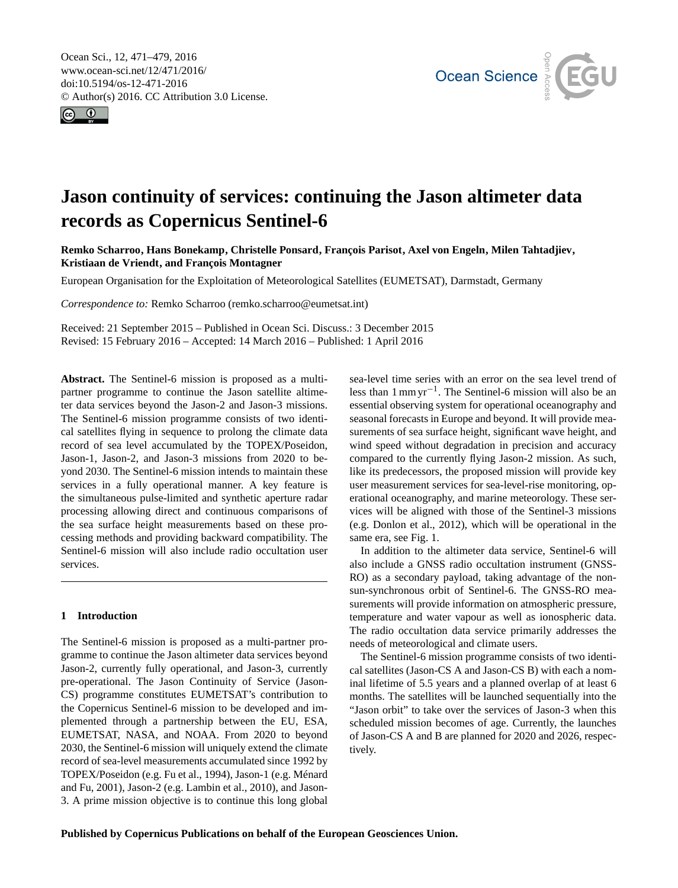<span id="page-0-0"></span>Ocean Sci., 12, 471–479, 2016 www.ocean-sci.net/12/471/2016/ doi:10.5194/os-12-471-2016 © Author(s) 2016. CC Attribution 3.0 License.





# **Jason continuity of services: continuing the Jason altimeter data records as Copernicus Sentinel-6**

**Remko Scharroo, Hans Bonekamp, Christelle Ponsard, François Parisot, Axel von Engeln, Milen Tahtadjiev, Kristiaan de Vriendt, and François Montagner**

European Organisation for the Exploitation of Meteorological Satellites (EUMETSAT), Darmstadt, Germany

*Correspondence to:* Remko Scharroo (remko.scharroo@eumetsat.int)

Received: 21 September 2015 – Published in Ocean Sci. Discuss.: 3 December 2015 Revised: 15 February 2016 – Accepted: 14 March 2016 – Published: 1 April 2016

**Abstract.** The Sentinel-6 mission is proposed as a multipartner programme to continue the Jason satellite altimeter data services beyond the Jason-2 and Jason-3 missions. The Sentinel-6 mission programme consists of two identical satellites flying in sequence to prolong the climate data record of sea level accumulated by the TOPEX/Poseidon, Jason-1, Jason-2, and Jason-3 missions from 2020 to beyond 2030. The Sentinel-6 mission intends to maintain these services in a fully operational manner. A key feature is the simultaneous pulse-limited and synthetic aperture radar processing allowing direct and continuous comparisons of the sea surface height measurements based on these processing methods and providing backward compatibility. The Sentinel-6 mission will also include radio occultation user services.

## **1 Introduction**

The Sentinel-6 mission is proposed as a multi-partner programme to continue the Jason altimeter data services beyond Jason-2, currently fully operational, and Jason-3, currently pre-operational. The Jason Continuity of Service (Jason-CS) programme constitutes EUMETSAT's contribution to the Copernicus Sentinel-6 mission to be developed and implemented through a partnership between the EU, ESA, EUMETSAT, NASA, and NOAA. From 2020 to beyond 2030, the Sentinel-6 mission will uniquely extend the climate record of sea-level measurements accumulated since 1992 by TOPEX/Poseidon (e.g. [Fu et al.,](#page-7-0) [1994\)](#page-7-0), Jason-1 (e.g. [Ménard](#page-7-1) [and Fu,](#page-7-1) [2001\)](#page-7-1), Jason-2 (e.g. [Lambin et al.,](#page-7-2) [2010\)](#page-7-2), and Jason-3. A prime mission objective is to continue this long global sea-level time series with an error on the sea level trend of less than 1 mm yr−<sup>1</sup> . The Sentinel-6 mission will also be an essential observing system for operational oceanography and seasonal forecasts in Europe and beyond. It will provide measurements of sea surface height, significant wave height, and wind speed without degradation in precision and accuracy compared to the currently flying Jason-2 mission. As such, like its predecessors, the proposed mission will provide key user measurement services for sea-level-rise monitoring, operational oceanography, and marine meteorology. These services will be aligned with those of the Sentinel-3 missions (e.g. [Donlon et al.,](#page-7-3) [2012\)](#page-7-3), which will be operational in the same era, see Fig. [1.](#page-1-0)

In addition to the altimeter data service, Sentinel-6 will also include a GNSS radio occultation instrument (GNSS-RO) as a secondary payload, taking advantage of the nonsun-synchronous orbit of Sentinel-6. The GNSS-RO measurements will provide information on atmospheric pressure, temperature and water vapour as well as ionospheric data. The radio occultation data service primarily addresses the needs of meteorological and climate users.

The Sentinel-6 mission programme consists of two identical satellites (Jason-CS A and Jason-CS B) with each a nominal lifetime of 5.5 years and a planned overlap of at least 6 months. The satellites will be launched sequentially into the "Jason orbit" to take over the services of Jason-3 when this scheduled mission becomes of age. Currently, the launches of Jason-CS A and B are planned for 2020 and 2026, respectively.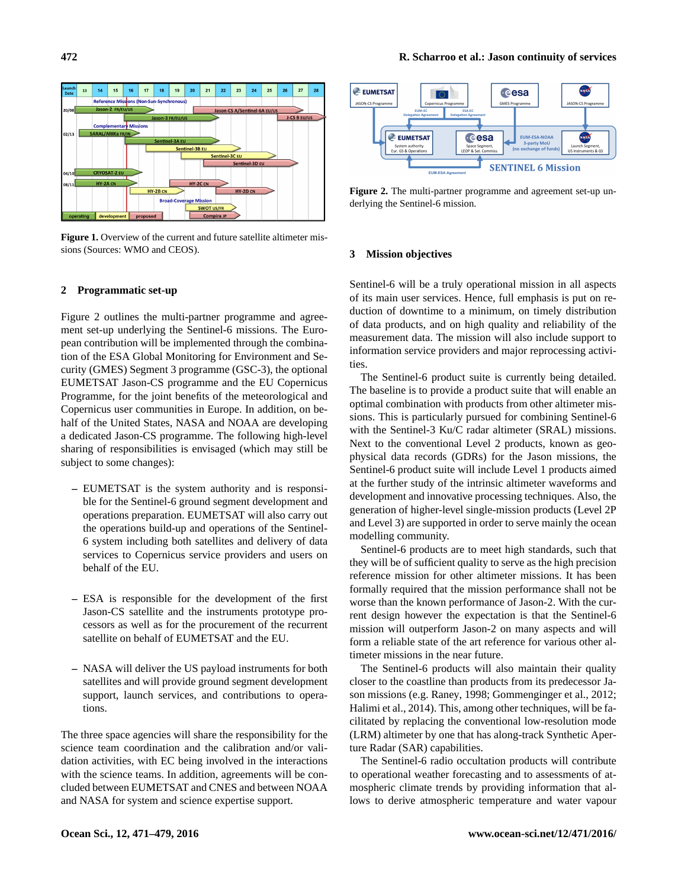<span id="page-1-0"></span>

**Figure 1.** Overview of the current and future satellite altimeter missions (Sources: WMO and CEOS).

## **2 Programmatic set-up**

Figure [2](#page-1-1) outlines the multi-partner programme and agreement set-up underlying the Sentinel-6 missions. The European contribution will be implemented through the combination of the ESA Global Monitoring for Environment and Security (GMES) Segment 3 programme (GSC-3), the optional EUMETSAT Jason-CS programme and the EU Copernicus Programme, for the joint benefits of the meteorological and Copernicus user communities in Europe. In addition, on behalf of the United States, NASA and NOAA are developing a dedicated Jason-CS programme. The following high-level sharing of responsibilities is envisaged (which may still be subject to some changes):

- **–** EUMETSAT is the system authority and is responsible for the Sentinel-6 ground segment development and operations preparation. EUMETSAT will also carry out the operations build-up and operations of the Sentinel-6 system including both satellites and delivery of data services to Copernicus service providers and users on behalf of the EU.
- **–** ESA is responsible for the development of the first Jason-CS satellite and the instruments prototype processors as well as for the procurement of the recurrent satellite on behalf of EUMETSAT and the EU.
- **–** NASA will deliver the US payload instruments for both satellites and will provide ground segment development support, launch services, and contributions to operations.

The three space agencies will share the responsibility for the science team coordination and the calibration and/or validation activities, with EC being involved in the interactions with the science teams. In addition, agreements will be concluded between EUMETSAT and CNES and between NOAA and NASA for system and science expertise support.

<span id="page-1-1"></span>

**Figure 2.** The multi-partner programme and agreement set-up underlying the Sentinel-6 mission.

## **3 Mission objectives**

Sentinel-6 will be a truly operational mission in all aspects of its main user services. Hence, full emphasis is put on reduction of downtime to a minimum, on timely distribution of data products, and on high quality and reliability of the measurement data. The mission will also include support to information service providers and major reprocessing activities.

The Sentinel-6 product suite is currently being detailed. The baseline is to provide a product suite that will enable an optimal combination with products from other altimeter missions. This is particularly pursued for combining Sentinel-6 with the Sentinel-3 Ku/C radar altimeter (SRAL) missions. Next to the conventional Level 2 products, known as geophysical data records (GDRs) for the Jason missions, the Sentinel-6 product suite will include Level 1 products aimed at the further study of the intrinsic altimeter waveforms and development and innovative processing techniques. Also, the generation of higher-level single-mission products (Level 2P and Level 3) are supported in order to serve mainly the ocean modelling community.

Sentinel-6 products are to meet high standards, such that they will be of sufficient quality to serve as the high precision reference mission for other altimeter missions. It has been formally required that the mission performance shall not be worse than the known performance of Jason-2. With the current design however the expectation is that the Sentinel-6 mission will outperform Jason-2 on many aspects and will form a reliable state of the art reference for various other altimeter missions in the near future.

The Sentinel-6 products will also maintain their quality closer to the coastline than products from its predecessor Jason missions (e.g. [Raney,](#page-8-0) [1998;](#page-8-0) [Gommenginger et al.,](#page-7-4) [2012;](#page-7-4) [Halimi et al.,](#page-7-5) [2014\)](#page-7-5). This, among other techniques, will be facilitated by replacing the conventional low-resolution mode (LRM) altimeter by one that has along-track Synthetic Aperture Radar (SAR) capabilities.

The Sentinel-6 radio occultation products will contribute to operational weather forecasting and to assessments of atmospheric climate trends by providing information that allows to derive atmospheric temperature and water vapour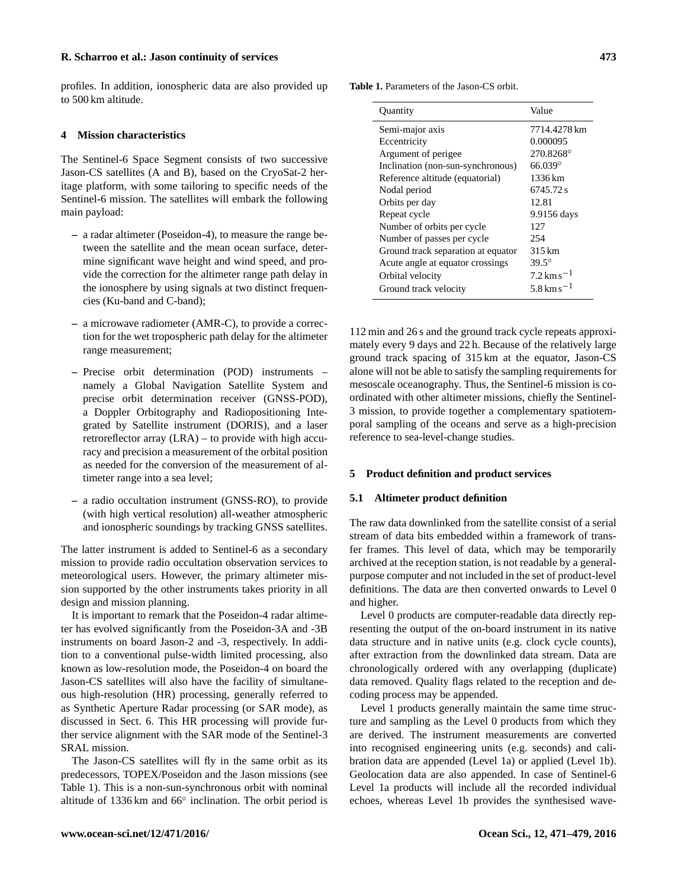profiles. In addition, ionospheric data are also provided up to 500 km altitude.

## **4 Mission characteristics**

The Sentinel-6 Space Segment consists of two successive Jason-CS satellites (A and B), based on the CryoSat-2 heritage platform, with some tailoring to specific needs of the Sentinel-6 mission. The satellites will embark the following main payload:

- **–** a radar altimeter (Poseidon-4), to measure the range between the satellite and the mean ocean surface, determine significant wave height and wind speed, and provide the correction for the altimeter range path delay in the ionosphere by using signals at two distinct frequencies (Ku-band and C-band);
- **–** a microwave radiometer (AMR-C), to provide a correction for the wet tropospheric path delay for the altimeter range measurement;
- **–** Precise orbit determination (POD) instruments namely a Global Navigation Satellite System and precise orbit determination receiver (GNSS-POD), a Doppler Orbitography and Radiopositioning Integrated by Satellite instrument (DORIS), and a laser retroreflector array (LRA) – to provide with high accuracy and precision a measurement of the orbital position as needed for the conversion of the measurement of altimeter range into a sea level;
- **–** a radio occultation instrument (GNSS-RO), to provide (with high vertical resolution) all-weather atmospheric and ionospheric soundings by tracking GNSS satellites.

The latter instrument is added to Sentinel-6 as a secondary mission to provide radio occultation observation services to meteorological users. However, the primary altimeter mission supported by the other instruments takes priority in all design and mission planning.

It is important to remark that the Poseidon-4 radar altimeter has evolved significantly from the Poseidon-3A and -3B instruments on board Jason-2 and -3, respectively. In addition to a conventional pulse-width limited processing, also known as low-resolution mode, the Poseidon-4 on board the Jason-CS satellites will also have the facility of simultaneous high-resolution (HR) processing, generally referred to as Synthetic Aperture Radar processing (or SAR mode), as discussed in Sect. 6. This HR processing will provide further service alignment with the SAR mode of the Sentinel-3 SRAL mission.

The Jason-CS satellites will fly in the same orbit as its predecessors, TOPEX/Poseidon and the Jason missions (see Table [1\)](#page-2-0). This is a non-sun-synchronous orbit with nominal altitude of 1336 km and 66◦ inclination. The orbit period is

<span id="page-2-0"></span>

| <b>Quantity</b>                    | Value                                 |
|------------------------------------|---------------------------------------|
| Semi-major axis                    | 7714.4278 km                          |
| Eccentricity                       | 0.000095                              |
| Argument of perigee                | 270.8268°                             |
| Inclination (non-sun-synchronous)  | $66.039^{\circ}$                      |
| Reference altitude (equatorial)    | 1336 km                               |
| Nodal period                       | 6745.72 s                             |
| Orbits per day                     | 12.81                                 |
| Repeat cycle                       | 9.9156 days                           |
| Number of orbits per cycle         | 127                                   |
| Number of passes per cycle         | 254                                   |
| Ground track separation at equator | 315 km                                |
| Acute angle at equator crossings   | $39.5^{\circ}$                        |
| Orbital velocity                   | $7.2 \,\mathrm{km}\,\mathrm{s}^{-1}$  |
| Ground track velocity              | $5.8 \,\mathrm{km} \,\mathrm{s}^{-1}$ |

112 min and 26 s and the ground track cycle repeats approximately every 9 days and 22 h. Because of the relatively large ground track spacing of 315 km at the equator, Jason-CS alone will not be able to satisfy the sampling requirements for mesoscale oceanography. Thus, the Sentinel-6 mission is coordinated with other altimeter missions, chiefly the Sentinel-3 mission, to provide together a complementary spatiotemporal sampling of the oceans and serve as a high-precision reference to sea-level-change studies.

## **5 Product definition and product services**

## **5.1 Altimeter product definition**

The raw data downlinked from the satellite consist of a serial stream of data bits embedded within a framework of transfer frames. This level of data, which may be temporarily archived at the reception station, is not readable by a generalpurpose computer and not included in the set of product-level definitions. The data are then converted onwards to Level 0 and higher.

Level 0 products are computer-readable data directly representing the output of the on-board instrument in its native data structure and in native units (e.g. clock cycle counts), after extraction from the downlinked data stream. Data are chronologically ordered with any overlapping (duplicate) data removed. Quality flags related to the reception and decoding process may be appended.

Level 1 products generally maintain the same time structure and sampling as the Level 0 products from which they are derived. The instrument measurements are converted into recognised engineering units (e.g. seconds) and calibration data are appended (Level 1a) or applied (Level 1b). Geolocation data are also appended. In case of Sentinel-6 Level 1a products will include all the recorded individual echoes, whereas Level 1b provides the synthesised wave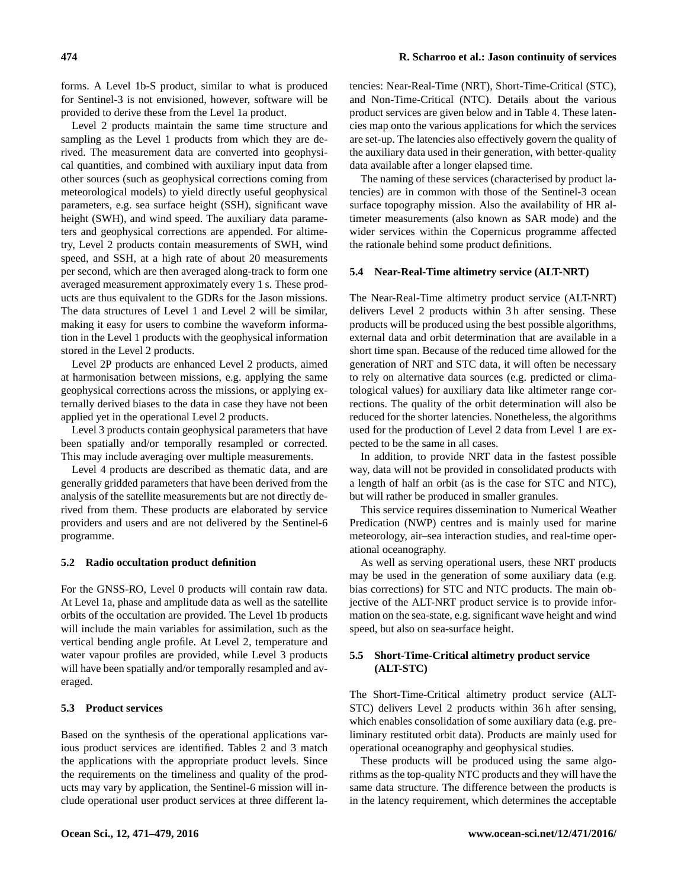forms. A Level 1b-S product, similar to what is produced for Sentinel-3 is not envisioned, however, software will be provided to derive these from the Level 1a product.

Level 2 products maintain the same time structure and sampling as the Level 1 products from which they are derived. The measurement data are converted into geophysical quantities, and combined with auxiliary input data from other sources (such as geophysical corrections coming from meteorological models) to yield directly useful geophysical parameters, e.g. sea surface height (SSH), significant wave height (SWH), and wind speed. The auxiliary data parameters and geophysical corrections are appended. For altimetry, Level 2 products contain measurements of SWH, wind speed, and SSH, at a high rate of about 20 measurements per second, which are then averaged along-track to form one averaged measurement approximately every 1 s. These products are thus equivalent to the GDRs for the Jason missions. The data structures of Level 1 and Level 2 will be similar, making it easy for users to combine the waveform information in the Level 1 products with the geophysical information stored in the Level 2 products.

Level 2P products are enhanced Level 2 products, aimed at harmonisation between missions, e.g. applying the same geophysical corrections across the missions, or applying externally derived biases to the data in case they have not been applied yet in the operational Level 2 products.

Level 3 products contain geophysical parameters that have been spatially and/or temporally resampled or corrected. This may include averaging over multiple measurements.

Level 4 products are described as thematic data, and are generally gridded parameters that have been derived from the analysis of the satellite measurements but are not directly derived from them. These products are elaborated by service providers and users and are not delivered by the Sentinel-6 programme.

## **5.2 Radio occultation product definition**

For the GNSS-RO, Level 0 products will contain raw data. At Level 1a, phase and amplitude data as well as the satellite orbits of the occultation are provided. The Level 1b products will include the main variables for assimilation, such as the vertical bending angle profile. At Level 2, temperature and water vapour profiles are provided, while Level 3 products will have been spatially and/or temporally resampled and averaged.

# **5.3 Product services**

Based on the synthesis of the operational applications various product services are identified. Tables [2](#page-4-0) and [3](#page-4-1) match the applications with the appropriate product levels. Since the requirements on the timeliness and quality of the products may vary by application, the Sentinel-6 mission will include operational user product services at three different latencies: Near-Real-Time (NRT), Short-Time-Critical (STC), and Non-Time-Critical (NTC). Details about the various product services are given below and in Table [4.](#page-5-0) These latencies map onto the various applications for which the services are set-up. The latencies also effectively govern the quality of the auxiliary data used in their generation, with better-quality data available after a longer elapsed time.

The naming of these services (characterised by product latencies) are in common with those of the Sentinel-3 ocean surface topography mission. Also the availability of HR altimeter measurements (also known as SAR mode) and the wider services within the Copernicus programme affected the rationale behind some product definitions.

## **5.4 Near-Real-Time altimetry service (ALT-NRT)**

The Near-Real-Time altimetry product service (ALT-NRT) delivers Level 2 products within 3 h after sensing. These products will be produced using the best possible algorithms, external data and orbit determination that are available in a short time span. Because of the reduced time allowed for the generation of NRT and STC data, it will often be necessary to rely on alternative data sources (e.g. predicted or climatological values) for auxiliary data like altimeter range corrections. The quality of the orbit determination will also be reduced for the shorter latencies. Nonetheless, the algorithms used for the production of Level 2 data from Level 1 are expected to be the same in all cases.

In addition, to provide NRT data in the fastest possible way, data will not be provided in consolidated products with a length of half an orbit (as is the case for STC and NTC), but will rather be produced in smaller granules.

This service requires dissemination to Numerical Weather Predication (NWP) centres and is mainly used for marine meteorology, air–sea interaction studies, and real-time operational oceanography.

As well as serving operational users, these NRT products may be used in the generation of some auxiliary data (e.g. bias corrections) for STC and NTC products. The main objective of the ALT-NRT product service is to provide information on the sea-state, e.g. significant wave height and wind speed, but also on sea-surface height.

# **5.5 Short-Time-Critical altimetry product service (ALT-STC)**

The Short-Time-Critical altimetry product service (ALT-STC) delivers Level 2 products within 36h after sensing, which enables consolidation of some auxiliary data (e.g. preliminary restituted orbit data). Products are mainly used for operational oceanography and geophysical studies.

These products will be produced using the same algorithms as the top-quality NTC products and they will have the same data structure. The difference between the products is in the latency requirement, which determines the acceptable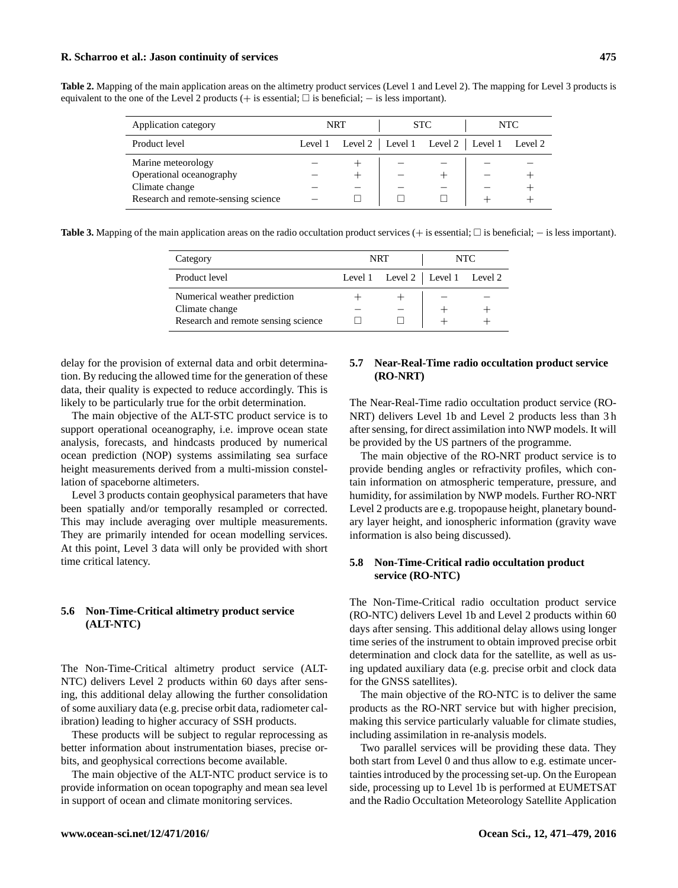## **R. Scharroo et al.: Jason continuity of services 475**

<span id="page-4-0"></span>**Table 2.** Mapping of the main application areas on the altimetry product services (Level 1 and Level 2). The mapping for Level 3 products is equivalent to the one of the Level 2 products (+ is essential;  $\Box$  is beneficial;  $-$  is less important).

| Application category                                                                                    | <b>NRT</b> |                                             | <b>STC</b> |  | NTC. |         |
|---------------------------------------------------------------------------------------------------------|------------|---------------------------------------------|------------|--|------|---------|
| Product level                                                                                           |            | Level 1 Level 2   Level 1 Level 2   Level 1 |            |  |      | Level 2 |
| Marine meteorology<br>Operational oceanography<br>Climate change<br>Research and remote-sensing science |            |                                             |            |  |      |         |

<span id="page-4-1"></span>**Table 3.** Mapping of the main application areas on the radio occultation product services (+ is essential;  $\Box$  is beneficial; − is less important).

| Category                                       | <b>NRT</b>                        | NTC. |  |  |
|------------------------------------------------|-----------------------------------|------|--|--|
| Product level                                  | Level 1 Level 2   Level 1 Level 2 |      |  |  |
| Numerical weather prediction<br>Climate change |                                   |      |  |  |
| Research and remote sensing science            |                                   |      |  |  |

delay for the provision of external data and orbit determination. By reducing the allowed time for the generation of these data, their quality is expected to reduce accordingly. This is likely to be particularly true for the orbit determination.

The main objective of the ALT-STC product service is to support operational oceanography, i.e. improve ocean state analysis, forecasts, and hindcasts produced by numerical ocean prediction (NOP) systems assimilating sea surface height measurements derived from a multi-mission constellation of spaceborne altimeters.

Level 3 products contain geophysical parameters that have been spatially and/or temporally resampled or corrected. This may include averaging over multiple measurements. They are primarily intended for ocean modelling services. At this point, Level 3 data will only be provided with short time critical latency.

# **5.6 Non-Time-Critical altimetry product service (ALT-NTC)**

The Non-Time-Critical altimetry product service (ALT-NTC) delivers Level 2 products within 60 days after sensing, this additional delay allowing the further consolidation of some auxiliary data (e.g. precise orbit data, radiometer calibration) leading to higher accuracy of SSH products.

These products will be subject to regular reprocessing as better information about instrumentation biases, precise orbits, and geophysical corrections become available.

The main objective of the ALT-NTC product service is to provide information on ocean topography and mean sea level in support of ocean and climate monitoring services.

## **5.7 Near-Real-Time radio occultation product service (RO-NRT)**

The Near-Real-Time radio occultation product service (RO-NRT) delivers Level 1b and Level 2 products less than 3 h after sensing, for direct assimilation into NWP models. It will be provided by the US partners of the programme.

The main objective of the RO-NRT product service is to provide bending angles or refractivity profiles, which contain information on atmospheric temperature, pressure, and humidity, for assimilation by NWP models. Further RO-NRT Level 2 products are e.g. tropopause height, planetary boundary layer height, and ionospheric information (gravity wave information is also being discussed).

# **5.8 Non-Time-Critical radio occultation product service (RO-NTC)**

The Non-Time-Critical radio occultation product service (RO-NTC) delivers Level 1b and Level 2 products within 60 days after sensing. This additional delay allows using longer time series of the instrument to obtain improved precise orbit determination and clock data for the satellite, as well as using updated auxiliary data (e.g. precise orbit and clock data for the GNSS satellites).

The main objective of the RO-NTC is to deliver the same products as the RO-NRT service but with higher precision, making this service particularly valuable for climate studies, including assimilation in re-analysis models.

Two parallel services will be providing these data. They both start from Level 0 and thus allow to e.g. estimate uncertainties introduced by the processing set-up. On the European side, processing up to Level 1b is performed at EUMETSAT and the Radio Occultation Meteorology Satellite Application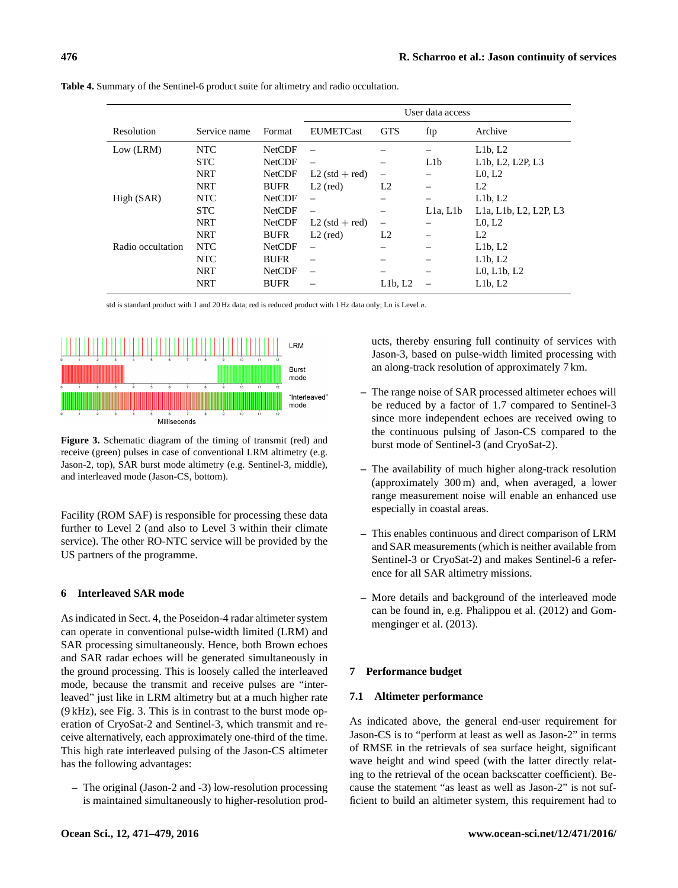|                   |              |               | User data access         |                |          |                                                                                       |  |
|-------------------|--------------|---------------|--------------------------|----------------|----------|---------------------------------------------------------------------------------------|--|
| Resolution        | Service name | Format        | <b>EUMETCast</b>         | <b>GTS</b>     | ftp      | Archive                                                                               |  |
| Low (LRM)         | <b>NTC</b>   | <b>NetCDF</b> | $\overline{\phantom{0}}$ |                |          | L1b, L2                                                                               |  |
|                   | <b>STC</b>   | <b>NetCDF</b> | -                        |                | L1b      | L <sub>1</sub> b, L <sub>2</sub> , L <sub>2</sub> P, L <sub>3</sub>                   |  |
|                   | <b>NRT</b>   | <b>NetCDF</b> | $L2$ (std + red)         |                |          | L <sub>0</sub> , L <sub>2</sub>                                                       |  |
|                   | <b>NRT</b>   | <b>BUFR</b>   | $L2$ (red)               | L <sub>2</sub> |          | L <sub>2</sub>                                                                        |  |
| High (SAR)        | <b>NTC</b>   | <b>NetCDF</b> |                          |                |          | L1b, L2                                                                               |  |
|                   | <b>STC</b>   | <b>NetCDF</b> |                          |                | L1a, L1b | L <sub>1</sub> a, L <sub>1</sub> b, L <sub>2</sub> , L <sub>2</sub> P, L <sub>3</sub> |  |
|                   | <b>NRT</b>   | <b>NetCDF</b> | $L2$ (std + red)         |                |          | L <sub>0</sub> , L <sub>2</sub>                                                       |  |
|                   | <b>NRT</b>   | <b>BUFR</b>   | $L2$ (red)               | L <sub>2</sub> |          | L <sub>2</sub>                                                                        |  |
| Radio occultation | <b>NTC</b>   | <b>NetCDF</b> |                          |                |          | L1b, L2                                                                               |  |
|                   | <b>NTC</b>   | <b>BUFR</b>   |                          |                |          | L1b, L2                                                                               |  |
|                   | <b>NRT</b>   | <b>NetCDF</b> | $\overline{\phantom{0}}$ |                |          | $L0, L1b, L2$                                                                         |  |
|                   | <b>NRT</b>   | <b>BUFR</b>   |                          | L1b, L2        |          | L1b, L2                                                                               |  |

<span id="page-5-0"></span>**Table 4.** Summary of the Sentinel-6 product suite for altimetry and radio occultation.

std is standard product with 1 and 20 Hz data; red is reduced product with 1 Hz data only; Ln is Level n.

<span id="page-5-1"></span>

**Figure 3.** Schematic diagram of the timing of transmit (red) and receive (green) pulses in case of conventional LRM altimetry (e.g. Jason-2, top), SAR burst mode altimetry (e.g. Sentinel-3, middle), and interleaved mode (Jason-CS, bottom).

Facility (ROM SAF) is responsible for processing these data further to Level 2 (and also to Level 3 within their climate service). The other RO-NTC service will be provided by the US partners of the programme.

## **6 Interleaved SAR mode**

As indicated in Sect. 4, the Poseidon-4 radar altimeter system can operate in conventional pulse-width limited (LRM) and SAR processing simultaneously. Hence, both Brown echoes and SAR radar echoes will be generated simultaneously in the ground processing. This is loosely called the interleaved mode, because the transmit and receive pulses are "interleaved" just like in LRM altimetry but at a much higher rate (9 kHz), see Fig. [3.](#page-5-1) This is in contrast to the burst mode operation of CryoSat-2 and Sentinel-3, which transmit and receive alternatively, each approximately one-third of the time. This high rate interleaved pulsing of the Jason-CS altimeter has the following advantages:

**–** The original (Jason-2 and -3) low-resolution processing is maintained simultaneously to higher-resolution products, thereby ensuring full continuity of services with Jason-3, based on pulse-width limited processing with an along-track resolution of approximately 7 km.

- **–** The range noise of SAR processed altimeter echoes will be reduced by a factor of 1.7 compared to Sentinel-3 since more independent echoes are received owing to the continuous pulsing of Jason-CS compared to the burst mode of Sentinel-3 (and CryoSat-2).
- **–** The availability of much higher along-track resolution (approximately 300 m) and, when averaged, a lower range measurement noise will enable an enhanced use especially in coastal areas.
- **–** This enables continuous and direct comparison of LRM and SAR measurements (which is neither available from Sentinel-3 or CryoSat-2) and makes Sentinel-6 a reference for all SAR altimetry missions.
- **–** More details and background of the interleaved mode can be found in, e.g. [Phalippou et al.](#page-7-6) [\(2012\)](#page-7-6) and [Gom](#page-7-7)[menginger et al.](#page-7-7) [\(2013\)](#page-7-7).

## **7 Performance budget**

## **7.1 Altimeter performance**

As indicated above, the general end-user requirement for Jason-CS is to "perform at least as well as Jason-2" in terms of RMSE in the retrievals of sea surface height, significant wave height and wind speed (with the latter directly relating to the retrieval of the ocean backscatter coefficient). Because the statement "as least as well as Jason-2" is not sufficient to build an altimeter system, this requirement had to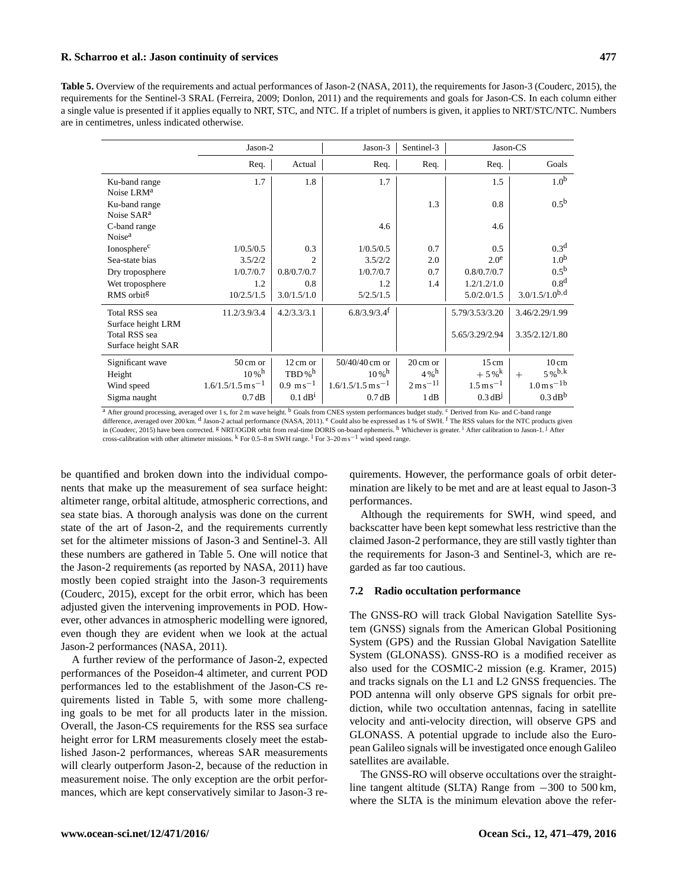## **R. Scharroo et al.: Jason continuity of services 477**

<span id="page-6-0"></span>**Table 5.** Overview of the requirements and actual performances of Jason-2 [\(NASA,](#page-7-8) [2011\)](#page-7-8), the requirements for Jason-3 [\(Couderc,](#page-7-9) [2015\)](#page-7-9), the requirements for the Sentinel-3 SRAL [\(Ferreira,](#page-7-10) [2009;](#page-7-10) [Donlon,](#page-7-11) [2011\)](#page-7-11) and the requirements and goals for Jason-CS. In each column either a single value is presented if it applies equally to NRT, STC, and NTC. If a triplet of numbers is given, it applies to NRT/STC/NTC. Numbers are in centimetres, unless indicated otherwise.

|                                         | Jason-2                         |                        | Jason-3                         | Sentinel-3                         | Jason-CS                   |                            |  |
|-----------------------------------------|---------------------------------|------------------------|---------------------------------|------------------------------------|----------------------------|----------------------------|--|
|                                         | Req.                            | Actual                 | Req.                            | Req.                               | Req.                       | Goals                      |  |
| Ku-band range<br>Noise LRM <sup>a</sup> | 1.7                             | 1.8                    | 1.7                             |                                    | 1.5                        | 1.0 <sup>b</sup>           |  |
| Ku-band range<br>Noise SAR <sup>a</sup> |                                 |                        |                                 | 1.3                                | 0.8                        | 0.5 <sup>b</sup>           |  |
| C-band range<br>Noise <sup>a</sup>      |                                 |                        | 4.6                             |                                    | 4.6                        |                            |  |
| Ionosphere <sup>c</sup>                 | 1/0.5/0.5                       | 0.3                    | 1/0.5/0.5                       | 0.7                                | 0.5                        | 0.3 <sup>d</sup>           |  |
| Sea-state bias                          | 3.5/2/2                         | $\mathfrak{D}$         | 3.5/2/2                         | 2.0                                | 2.0 <sup>e</sup>           | 1.0 <sup>b</sup>           |  |
| Dry troposphere                         | 1/0.7/0.7                       | 0.8/0.7/0.7            | 1/0.7/0.7                       | 0.7                                | 0.8/0.7/0.7                | $0.5^{\rm b}$              |  |
| Wet troposphere                         | 1.2                             | 0.8                    | 1.2                             | 1.4                                | 1.2/1.2/1.0                | 0.8 <sup>d</sup>           |  |
| RMS orbit <sup>g</sup>                  | 10/2.5/1.5                      | 3.0/1.5/1.0            | 5/2.5/1.5                       |                                    | 5.0/2.0/1.5                | $3.0/1.5/1.0^{b,d}$        |  |
| Total RSS sea<br>Surface height LRM     | 11.2/3.9/3.4                    | 4.2/3.3/3.1            | $6.8/3.9/3.4$ <sup>f</sup>      |                                    | 5.79/3.53/3.20             | 3.46/2.29/1.99             |  |
| Total RSS sea<br>Surface height SAR     |                                 |                        |                                 |                                    | 5.65/3.29/2.94             | 3.35/2.12/1.80             |  |
| Significant wave                        | $50 \text{ cm}$ or              | 12 cm or               | 50/40/40 cm or                  | $20 \text{ cm}$ or                 | $15 \text{ cm}$            | $10 \text{ cm}$            |  |
| Height                                  | $10\,\mathrm{W}^{\,\mathrm{h}}$ | $TBD\%$ <sup>h</sup>   | $10\,\mathrm{W}^{\,\mathrm{h}}$ | $4\%$ <sup>h</sup>                 | $+5\,\%^k$                 | $5\%^{b,k}$<br>$+$         |  |
| Wind speed                              | $1.6/1.5/1.5 \text{ m s}^{-1}$  | $0.9 \text{ m s}^{-1}$ | $1.6/1.5/1.5 \text{ m s}^{-1}$  | $2 \,\mathrm{m}\,\mathrm{s}^{-11}$ | $1.5 \,\mathrm{m\,s}^{-1}$ | $1.0 \,\mathrm{m\,s}^{-1}$ |  |
| Sigma naught                            | 0.7 dB                          | 0.1 dB <sup>1</sup>    | 0.7dB                           | 1 dB                               | 0.3 dB <sup>J</sup>        | 0.3 dB <sup>b</sup>        |  |

<sup>a</sup> After ground processing, averaged over 1 s, for 2 m wave height. <sup>b</sup> Goals from CNES system performances budget study. <sup>c</sup> Derived from Ku- and C-band range difference, averaged over 200 km. <sup>d</sup> Jason-2 actual performance [\(NASA,](#page-7-8) [2011\)](#page-7-8). <sup>e</sup> Could also be expressed as 1 % of SWH. <sup>f</sup> The RSS values for the NTC products given in [\(Couderc,](#page-7-9) [2015\)](#page-7-9) have been corrected. <sup>g</sup> NRT/OGDR orbit from real-time DORIS on-board ephemeris. <sup>h</sup> Whichever is greater. <sup>1</sup> After calibration to Jason-1. <sup>j</sup> After cross-calibration with other altimeter missions. <sup>k</sup> For 0.5–8 m SWH range. <sup>l</sup> For 3–20 m s−<sup>1</sup> wind speed range.

be quantified and broken down into the individual components that make up the measurement of sea surface height: altimeter range, orbital altitude, atmospheric corrections, and sea state bias. A thorough analysis was done on the current state of the art of Jason-2, and the requirements currently set for the altimeter missions of Jason-3 and Sentinel-3. All these numbers are gathered in Table [5.](#page-6-0) One will notice that the Jason-2 requirements (as reported by [NASA,](#page-7-8) [2011\)](#page-7-8) have mostly been copied straight into the Jason-3 requirements [\(Couderc,](#page-7-9) [2015\)](#page-7-9), except for the orbit error, which has been adjusted given the intervening improvements in POD. However, other advances in atmospheric modelling were ignored, even though they are evident when we look at the actual Jason-2 performances [\(NASA,](#page-7-8) [2011\)](#page-7-8).

A further review of the performance of Jason-2, expected performances of the Poseidon-4 altimeter, and current POD performances led to the establishment of the Jason-CS requirements listed in Table [5,](#page-6-0) with some more challenging goals to be met for all products later in the mission. Overall, the Jason-CS requirements for the RSS sea surface height error for LRM measurements closely meet the established Jason-2 performances, whereas SAR measurements will clearly outperform Jason-2, because of the reduction in measurement noise. The only exception are the orbit performances, which are kept conservatively similar to Jason-3 re-

quirements. However, the performance goals of orbit determination are likely to be met and are at least equal to Jason-3 performances.

Although the requirements for SWH, wind speed, and backscatter have been kept somewhat less restrictive than the claimed Jason-2 performance, they are still vastly tighter than the requirements for Jason-3 and Sentinel-3, which are regarded as far too cautious.

## **7.2 Radio occultation performance**

The GNSS-RO will track Global Navigation Satellite System (GNSS) signals from the American Global Positioning System (GPS) and the Russian Global Navigation Satellite System (GLONASS). GNSS-RO is a modified receiver as also used for the COSMIC-2 mission (e.g. [Kramer,](#page-7-12) [2015\)](#page-7-12) and tracks signals on the L1 and L2 GNSS frequencies. The POD antenna will only observe GPS signals for orbit prediction, while two occultation antennas, facing in satellite velocity and anti-velocity direction, will observe GPS and GLONASS. A potential upgrade to include also the European Galileo signals will be investigated once enough Galileo satellites are available.

The GNSS-RO will observe occultations over the straightline tangent altitude (SLTA) Range from −300 to 500 km, where the SLTA is the minimum elevation above the refer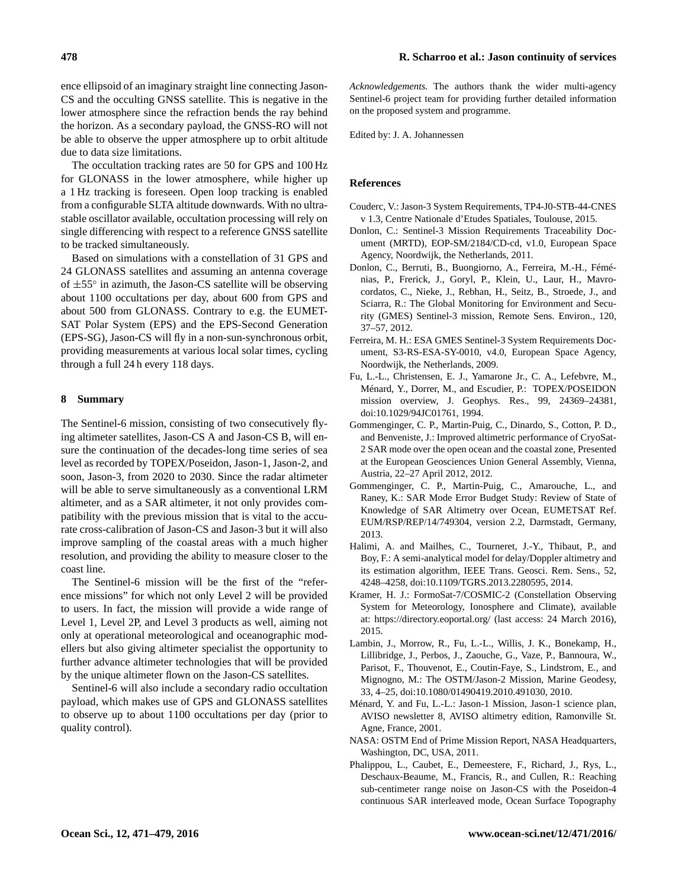ence ellipsoid of an imaginary straight line connecting Jason-CS and the occulting GNSS satellite. This is negative in the lower atmosphere since the refraction bends the ray behind the horizon. As a secondary payload, the GNSS-RO will not be able to observe the upper atmosphere up to orbit altitude due to data size limitations.

The occultation tracking rates are 50 for GPS and 100 Hz for GLONASS in the lower atmosphere, while higher up a 1 Hz tracking is foreseen. Open loop tracking is enabled from a configurable SLTA altitude downwards. With no ultrastable oscillator available, occultation processing will rely on single differencing with respect to a reference GNSS satellite to be tracked simultaneously.

Based on simulations with a constellation of 31 GPS and 24 GLONASS satellites and assuming an antenna coverage of ±55◦ in azimuth, the Jason-CS satellite will be observing about 1100 occultations per day, about 600 from GPS and about 500 from GLONASS. Contrary to e.g. the EUMET-SAT Polar System (EPS) and the EPS-Second Generation (EPS-SG), Jason-CS will fly in a non-sun-synchronous orbit, providing measurements at various local solar times, cycling through a full 24 h every 118 days.

## **8 Summary**

The Sentinel-6 mission, consisting of two consecutively flying altimeter satellites, Jason-CS A and Jason-CS B, will ensure the continuation of the decades-long time series of sea level as recorded by TOPEX/Poseidon, Jason-1, Jason-2, and soon, Jason-3, from 2020 to 2030. Since the radar altimeter will be able to serve simultaneously as a conventional LRM altimeter, and as a SAR altimeter, it not only provides compatibility with the previous mission that is vital to the accurate cross-calibration of Jason-CS and Jason-3 but it will also improve sampling of the coastal areas with a much higher resolution, and providing the ability to measure closer to the coast line.

The Sentinel-6 mission will be the first of the "reference missions" for which not only Level 2 will be provided to users. In fact, the mission will provide a wide range of Level 1, Level 2P, and Level 3 products as well, aiming not only at operational meteorological and oceanographic modellers but also giving altimeter specialist the opportunity to further advance altimeter technologies that will be provided by the unique altimeter flown on the Jason-CS satellites.

Sentinel-6 will also include a secondary radio occultation payload, which makes use of GPS and GLONASS satellites to observe up to about 1100 occultations per day (prior to quality control).

*Acknowledgements.* The authors thank the wider multi-agency Sentinel-6 project team for providing further detailed information on the proposed system and programme.

Edited by: J. A. Johannessen

## **References**

- <span id="page-7-9"></span>Couderc, V.: Jason-3 System Requirements, TP4-J0-STB-44-CNES v 1.3, Centre Nationale d'Etudes Spatiales, Toulouse, 2015.
- <span id="page-7-11"></span>Donlon, C.: Sentinel-3 Mission Requirements Traceability Document (MRTD), EOP-SM/2184/CD-cd, v1.0, European Space Agency, Noordwijk, the Netherlands, 2011.
- <span id="page-7-3"></span>Donlon, C., Berruti, B., Buongiorno, A., Ferreira, M.-H., Féménias, P., Frerick, J., Goryl, P., Klein, U., Laur, H., Mavrocordatos, C., Nieke, J., Rebhan, H., Seitz, B., Stroede, J., and Sciarra, R.: The Global Monitoring for Environment and Security (GMES) Sentinel-3 mission, Remote Sens. Environ., 120, 37–57, 2012.
- <span id="page-7-10"></span>Ferreira, M. H.: ESA GMES Sentinel-3 System Requirements Document, S3-RS-ESA-SY-0010, v4.0, European Space Agency, Noordwijk, the Netherlands, 2009.
- <span id="page-7-0"></span>Fu, L.-L., Christensen, E. J., Yamarone Jr., C. A., Lefebvre, M., Ménard, Y., Dorrer, M., and Escudier, P.: TOPEX/POSEIDON mission overview, J. Geophys. Res., 99, 24369–24381, doi[:10.1029/94JC01761,](http://dx.doi.org/10.1029/94JC01761) 1994.
- <span id="page-7-4"></span>Gommenginger, C. P., Martin-Puig, C., Dinardo, S., Cotton, P. D., and Benveniste, J.: Improved altimetric performance of CryoSat-2 SAR mode over the open ocean and the coastal zone, Presented at the European Geosciences Union General Assembly, Vienna, Austria, 22–27 April 2012, 2012.
- <span id="page-7-7"></span>Gommenginger, C. P., Martin-Puig, C., Amarouche, L., and Raney, K.: SAR Mode Error Budget Study: Review of State of Knowledge of SAR Altimetry over Ocean, EUMETSAT Ref. EUM/RSP/REP/14/749304, version 2.2, Darmstadt, Germany, 2013.
- <span id="page-7-5"></span>Halimi, A. and Mailhes, C., Tourneret, J.-Y., Thibaut, P., and Boy, F.: A semi-analytical model for delay/Doppler altimetry and its estimation algorithm, IEEE Trans. Geosci. Rem. Sens., 52, 4248–4258, doi[:10.1109/TGRS.2013.2280595,](http://dx.doi.org/10.1109/TGRS.2013.2280595) 2014.
- <span id="page-7-12"></span>Kramer, H. J.: FormoSat-7/COSMIC-2 (Constellation Observing System for Meteorology, Ionosphere and Climate), available at: <https://directory.eoportal.org/> (last access: 24 March 2016), 2015.
- <span id="page-7-2"></span>Lambin, J., Morrow, R., Fu, L.-L., Willis, J. K., Bonekamp, H., Lillibridge, J., Perbos, J., Zaouche, G., Vaze, P., Bannoura, W., Parisot, F., Thouvenot, E., Coutin-Faye, S., Lindstrom, E., and Mignogno, M.: The OSTM/Jason-2 Mission, Marine Geodesy, 33, 4–25, doi[:10.1080/01490419.2010.491030,](http://dx.doi.org/10.1080/01490419.2010.491030) 2010.
- <span id="page-7-1"></span>Ménard, Y. and Fu, L.-L.: Jason-1 Mission, Jason-1 science plan, AVISO newsletter 8, AVISO altimetry edition, Ramonville St. Agne, France, 2001.
- <span id="page-7-8"></span>NASA: OSTM End of Prime Mission Report, NASA Headquarters, Washington, DC, USA, 2011.
- <span id="page-7-6"></span>Phalippou, L., Caubet, E., Demeestere, F., Richard, J., Rys, L., Deschaux-Beaume, M., Francis, R., and Cullen, R.: Reaching sub-centimeter range noise on Jason-CS with the Poseidon-4 continuous SAR interleaved mode, Ocean Surface Topography